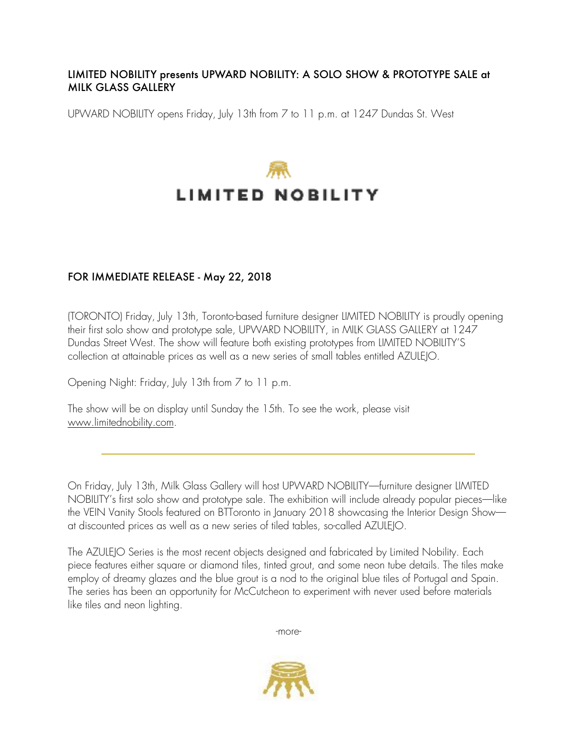#### LIMITED NOBILITY presents UPWARD NOBILITY: A SOLO SHOW & PROTOTYPE SALE at MILK GLASS GALLERY

UPWARD NOBILITY opens Friday, July 13th from 7 to 11 p.m. at 1247 Dundas St. West

# **LIMITED NOBILITY**

## FOR IMMEDIATE RELEASE - May 22, 2018

(TORONTO) Friday, July 13th, Toronto-based furniture designer LIMITED NOBILITY is proudly opening their first solo show and prototype sale, UPWARD NOBILITY, in MILK GLASS GALLERY at 1247 Dundas Street West. The show will feature both existing prototypes from LIMITED NOBILITY'S collection at attainable prices as well as a new series of small tables entitled AZULEJO.

Opening Night: Friday, July 13th from 7 to 11 p.m.

The show will be on display until Sunday the 15th. To see the work, please visit [www.limitednobility.com.](http://www.limitednobility.com)

On Friday, July 13th, Milk Glass Gallery will host UPWARD NOBILITY–furniture designer LIMITED NOBILITY's first solo show and prototype sale. The exhibition will include already popular pieces–like the VEIN Vanity Stools featured on BTToronto in January 2018 showcasing the Interior Design Show– at discounted prices as well as a new series of tiled tables, so-called AZULEJO.

The AZULEJO Series is the most recent objects designed and fabricated by Limited Nobility. Each piece features either square or diamond tiles, tinted grout, and some neon tube details. The tiles make employ of dreamy glazes and the blue grout is a nod to the original blue tiles of Portugal and Spain. The series has been an opportunity for McCutcheon to experiment with never used before materials like tiles and neon lighting.

-more-